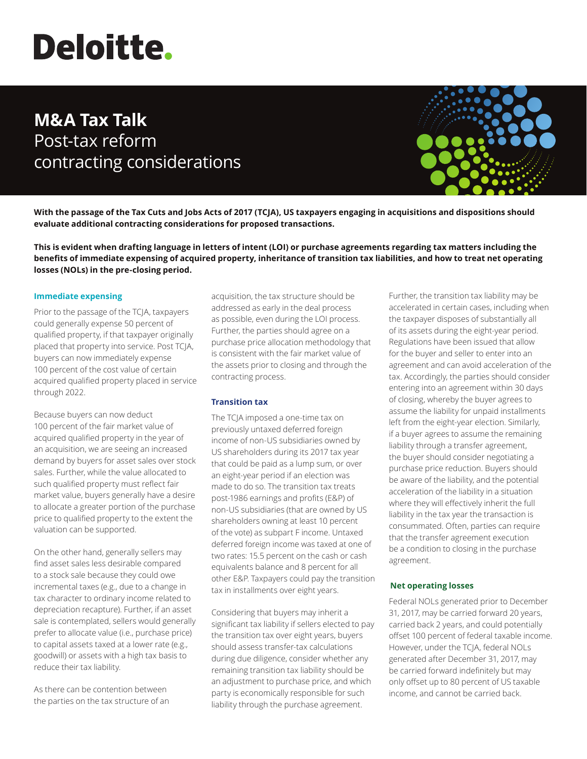# **Deloitte.**

# **M&A Tax Talk**  Post-tax reform contracting considerations



**With the passage of the Tax Cuts and Jobs Acts of 2017 (TCJA), US taxpayers engaging in acquisitions and dispositions should evaluate additional contracting considerations for proposed transactions.**

**This is evident when drafting language in letters of intent (LOI) or purchase agreements regarding tax matters including the benefits of immediate expensing of acquired property, inheritance of transition tax liabilities, and how to treat net operating losses (NOLs) in the pre-closing period.**

#### **Immediate expensing**

Prior to the passage of the TCJA, taxpayers could generally expense 50 percent of qualified property, if that taxpayer originally placed that property into service. Post TCJA, buyers can now immediately expense 100 percent of the cost value of certain acquired qualified property placed in service through 2022.

Because buyers can now deduct 100 percent of the fair market value of acquired qualified property in the year of an acquisition, we are seeing an increased demand by buyers for asset sales over stock sales. Further, while the value allocated to such qualified property must reflect fair market value, buyers generally have a desire to allocate a greater portion of the purchase price to qualified property to the extent the valuation can be supported.

On the other hand, generally sellers may find asset sales less desirable compared to a stock sale because they could owe incremental taxes (e.g., due to a change in tax character to ordinary income related to depreciation recapture). Further, if an asset sale is contemplated, sellers would generally prefer to allocate value (i.e., purchase price) to capital assets taxed at a lower rate (e.g., goodwill) or assets with a high tax basis to reduce their tax liability.

As there can be contention between the parties on the tax structure of an acquisition, the tax structure should be addressed as early in the deal process as possible, even during the LOI process. Further, the parties should agree on a purchase price allocation methodology that is consistent with the fair market value of the assets prior to closing and through the contracting process.

## **Transition tax**

The TCJA imposed a one-time tax on previously untaxed deferred foreign income of non-US subsidiaries owned by US shareholders during its 2017 tax year that could be paid as a lump sum, or over an eight-year period if an election was made to do so. The transition tax treats post-1986 earnings and profits (E&P) of non-US subsidiaries (that are owned by US shareholders owning at least 10 percent of the vote) as subpart F income. Untaxed deferred foreign income was taxed at one of two rates: 15.5 percent on the cash or cash equivalents balance and 8 percent for all other E&P. Taxpayers could pay the transition tax in installments over eight years.

Considering that buyers may inherit a significant tax liability if sellers elected to pay the transition tax over eight years, buyers should assess transfer-tax calculations during due diligence, consider whether any remaining transition tax liability should be an adjustment to purchase price, and which party is economically responsible for such liability through the purchase agreement.

Further, the transition tax liability may be accelerated in certain cases, including when the taxpayer disposes of substantially all of its assets during the eight-year period. Regulations have been issued that allow for the buyer and seller to enter into an agreement and can avoid acceleration of the tax. Accordingly, the parties should consider entering into an agreement within 30 days of closing, whereby the buyer agrees to assume the liability for unpaid installments left from the eight-year election. Similarly, if a buyer agrees to assume the remaining liability through a transfer agreement, the buyer should consider negotiating a purchase price reduction. Buyers should be aware of the liability, and the potential acceleration of the liability in a situation where they will effectively inherit the full liability in the tax year the transaction is consummated. Often, parties can require that the transfer agreement execution be a condition to closing in the purchase agreement.

## **Net operating losses**

Federal NOLs generated prior to December 31, 2017, may be carried forward 20 years, carried back 2 years, and could potentially offset 100 percent of federal taxable income. However, under the TCJA, federal NOLs generated after December 31, 2017, may be carried forward indefinitely but may only offset up to 80 percent of US taxable income, and cannot be carried back.